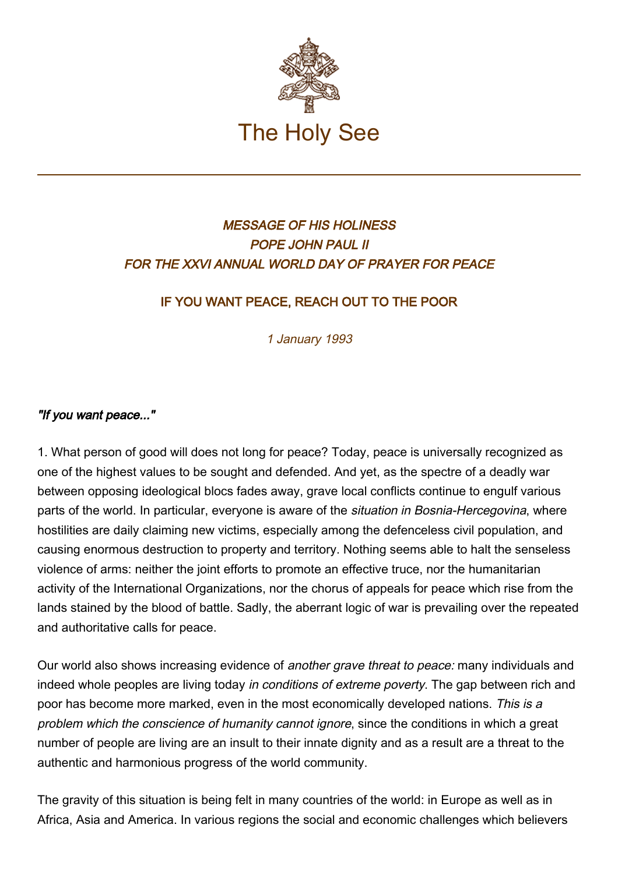

# MESSAGE OF HIS HOLINESS POPE JOHN PAUL II FOR THE XXVI ANNUAL WORLD DAY OF PRAYER FOR PEACE

# IF YOU WANT PEACE, REACH OUT TO THE POOR

1 January 1993

## "If you want peace..."

1. What person of good will does not long for peace? Today, peace is universally recognized as one of the highest values to be sought and defended. And yet, as the spectre of a deadly war between opposing ideological blocs fades away, grave local conflicts continue to engulf various parts of the world. In particular, everyone is aware of the situation in Bosnia-Hercegovina, where hostilities are daily claiming new victims, especially among the defenceless civil population, and causing enormous destruction to property and territory. Nothing seems able to halt the senseless violence of arms: neither the joint efforts to promote an effective truce, nor the humanitarian activity of the International Organizations, nor the chorus of appeals for peace which rise from the lands stained by the blood of battle. Sadly, the aberrant logic of war is prevailing over the repeated and authoritative calls for peace.

Our world also shows increasing evidence of *another grave threat to peace:* many individuals and indeed whole peoples are living today in conditions of extreme poverty. The gap between rich and poor has become more marked, even in the most economically developed nations. This is a problem which the conscience of humanity cannot ignore, since the conditions in which a great number of people are living are an insult to their innate dignity and as a result are a threat to the authentic and harmonious progress of the world community.

The gravity of this situation is being felt in many countries of the world: in Europe as well as in Africa, Asia and America. In various regions the social and economic challenges which believers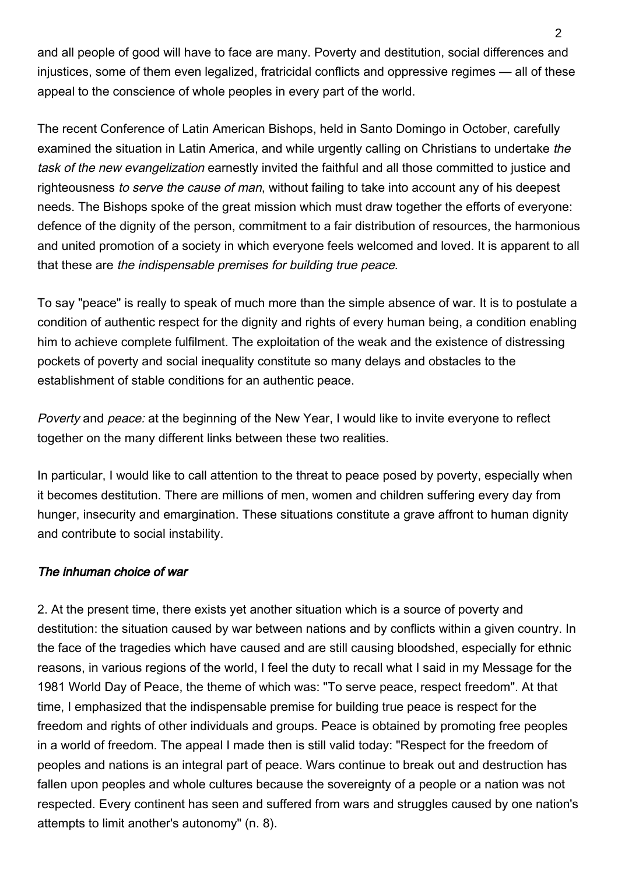and all people of good will have to face are many. Poverty and destitution, social differences and injustices, some of them even legalized, fratricidal conflicts and oppressive regimes — all of these appeal to the conscience of whole peoples in every part of the world.

The recent Conference of Latin American Bishops, held in Santo Domingo in October, carefully examined the situation in Latin America, and while urgently calling on Christians to undertake the task of the new evangelization earnestly invited the faithful and all those committed to justice and righteousness to serve the cause of man, without failing to take into account any of his deepest needs. The Bishops spoke of the great mission which must draw together the efforts of everyone: defence of the dignity of the person, commitment to a fair distribution of resources, the harmonious and united promotion of a society in which everyone feels welcomed and loved. It is apparent to all that these are the indispensable premises for building true peace.

To say "peace" is really to speak of much more than the simple absence of war. It is to postulate a condition of authentic respect for the dignity and rights of every human being, a condition enabling him to achieve complete fulfilment. The exploitation of the weak and the existence of distressing pockets of poverty and social inequality constitute so many delays and obstacles to the establishment of stable conditions for an authentic peace.

Poverty and peace: at the beginning of the New Year, I would like to invite everyone to reflect together on the many different links between these two realities.

In particular, I would like to call attention to the threat to peace posed by poverty, especially when it becomes destitution. There are millions of men, women and children suffering every day from hunger, insecurity and emargination. These situations constitute a grave affront to human dignity and contribute to social instability.

### The inhuman choice of war

2. At the present time, there exists yet another situation which is a source of poverty and destitution: the situation caused by war between nations and by conflicts within a given country. In the face of the tragedies which have caused and are still causing bloodshed, especially for ethnic reasons, in various regions of the world, I feel the duty to recall what I said in my Message for the 1981 World Day of Peace, the theme of which was: "To serve peace, respect freedom". At that time, I emphasized that the indispensable premise for building true peace is respect for the freedom and rights of other individuals and groups. Peace is obtained by promoting free peoples in a world of freedom. The appeal I made then is still valid today: "Respect for the freedom of peoples and nations is an integral part of peace. Wars continue to break out and destruction has fallen upon peoples and whole cultures because the sovereignty of a people or a nation was not respected. Every continent has seen and suffered from wars and struggles caused by one nation's attempts to limit another's autonomy" (n. 8).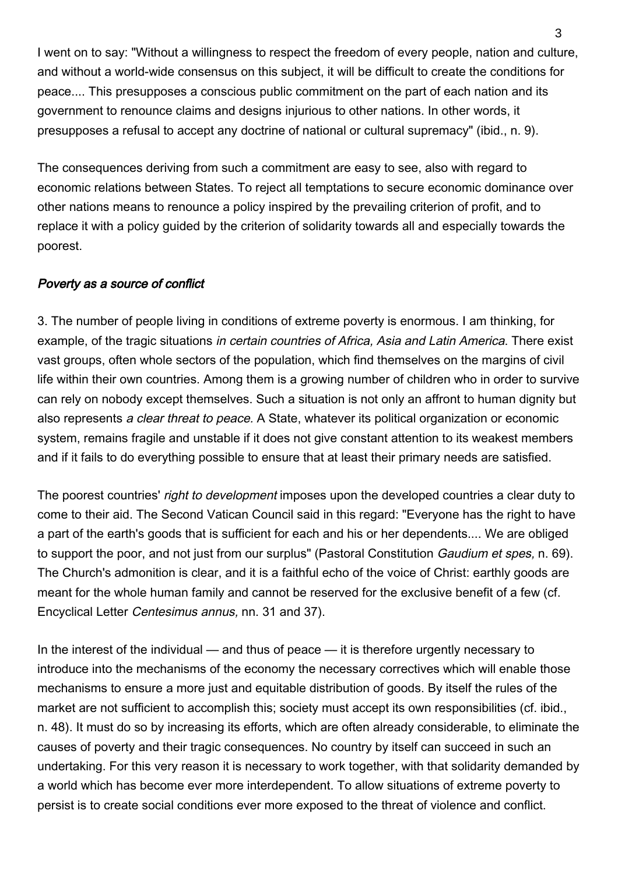I went on to say: "Without a willingness to respect the freedom of every people, nation and culture, and without a world-wide consensus on this subject, it will be difficult to create the conditions for peace.... This presupposes a conscious public commitment on the part of each nation and its government to renounce claims and designs injurious to other nations. In other words, it presupposes a refusal to accept any doctrine of national or cultural supremacy" (ibid., n. 9).

The consequences deriving from such a commitment are easy to see, also with regard to economic relations between States. To reject all temptations to secure economic dominance over other nations means to renounce a policy inspired by the prevailing criterion of profit, and to replace it with a policy guided by the criterion of solidarity towards all and especially towards the poorest.

### Poverty as a source of conflict

3. The number of people living in conditions of extreme poverty is enormous. I am thinking, for example, of the tragic situations in certain countries of Africa, Asia and Latin America. There exist vast groups, often whole sectors of the population, which find themselves on the margins of civil life within their own countries. Among them is a growing number of children who in order to survive can rely on nobody except themselves. Such a situation is not only an affront to human dignity but also represents a clear threat to peace. A State, whatever its political organization or economic system, remains fragile and unstable if it does not give constant attention to its weakest members and if it fails to do everything possible to ensure that at least their primary needs are satisfied.

The poorest countries' right to development imposes upon the developed countries a clear duty to come to their aid. The Second Vatican Council said in this regard: "Everyone has the right to have a part of the earth's goods that is sufficient for each and his or her dependents.... We are obliged to support the poor, and not just from our surplus" (Pastoral Constitution Gaudium et spes, n. 69). The Church's admonition is clear, and it is a faithful echo of the voice of Christ: earthly goods are meant for the whole human family and cannot be reserved for the exclusive benefit of a few (cf. Encyclical Letter Centesimus annus, nn. 31 and 37).

In the interest of the individual — and thus of peace — it is therefore urgently necessary to introduce into the mechanisms of the economy the necessary correctives which will enable those mechanisms to ensure a more just and equitable distribution of goods. By itself the rules of the market are not sufficient to accomplish this; society must accept its own responsibilities (cf. ibid., n. 48). It must do so by increasing its efforts, which are often already considerable, to eliminate the causes of poverty and their tragic consequences. No country by itself can succeed in such an undertaking. For this very reason it is necessary to work together, with that solidarity demanded by a world which has become ever more interdependent. To allow situations of extreme poverty to persist is to create social conditions ever more exposed to the threat of violence and conflict.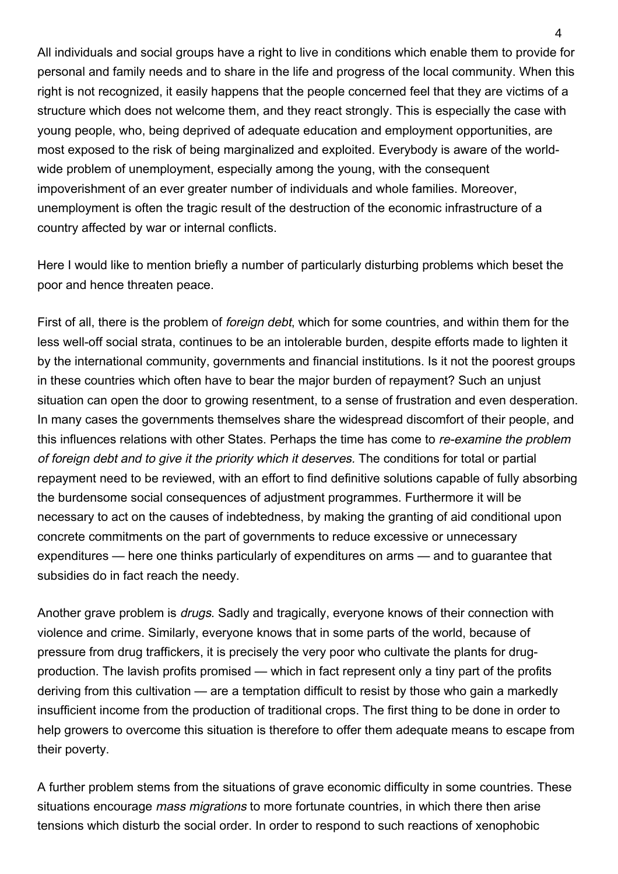All individuals and social groups have a right to live in conditions which enable them to provide for personal and family needs and to share in the life and progress of the local community. When this right is not recognized, it easily happens that the people concerned feel that they are victims of a structure which does not welcome them, and they react strongly. This is especially the case with young people, who, being deprived of adequate education and employment opportunities, are most exposed to the risk of being marginalized and exploited. Everybody is aware of the worldwide problem of unemployment, especially among the young, with the consequent impoverishment of an ever greater number of individuals and whole families. Moreover, unemployment is often the tragic result of the destruction of the economic infrastructure of a country affected by war or internal conflicts.

Here I would like to mention briefly a number of particularly disturbing problems which beset the poor and hence threaten peace.

First of all, there is the problem of foreign debt, which for some countries, and within them for the less well-off social strata, continues to be an intolerable burden, despite efforts made to lighten it by the international community, governments and financial institutions. Is it not the poorest groups in these countries which often have to bear the major burden of repayment? Such an unjust situation can open the door to growing resentment, to a sense of frustration and even desperation. In many cases the governments themselves share the widespread discomfort of their people, and this influences relations with other States. Perhaps the time has come to re-examine the problem of foreign debt and to give it the priority which it deserves. The conditions for total or partial repayment need to be reviewed, with an effort to find definitive solutions capable of fully absorbing the burdensome social consequences of adjustment programmes. Furthermore it will be necessary to act on the causes of indebtedness, by making the granting of aid conditional upon concrete commitments on the part of governments to reduce excessive or unnecessary expenditures — here one thinks particularly of expenditures on arms — and to guarantee that subsidies do in fact reach the needy.

Another grave problem is drugs. Sadly and tragically, everyone knows of their connection with violence and crime. Similarly, everyone knows that in some parts of the world, because of pressure from drug traffickers, it is precisely the very poor who cultivate the plants for drugproduction. The lavish profits promised — which in fact represent only a tiny part of the profits deriving from this cultivation — are a temptation difficult to resist by those who gain a markedly insufficient income from the production of traditional crops. The first thing to be done in order to help growers to overcome this situation is therefore to offer them adequate means to escape from their poverty.

A further problem stems from the situations of grave economic difficulty in some countries. These situations encourage *mass migrations* to more fortunate countries, in which there then arise tensions which disturb the social order. In order to respond to such reactions of xenophobic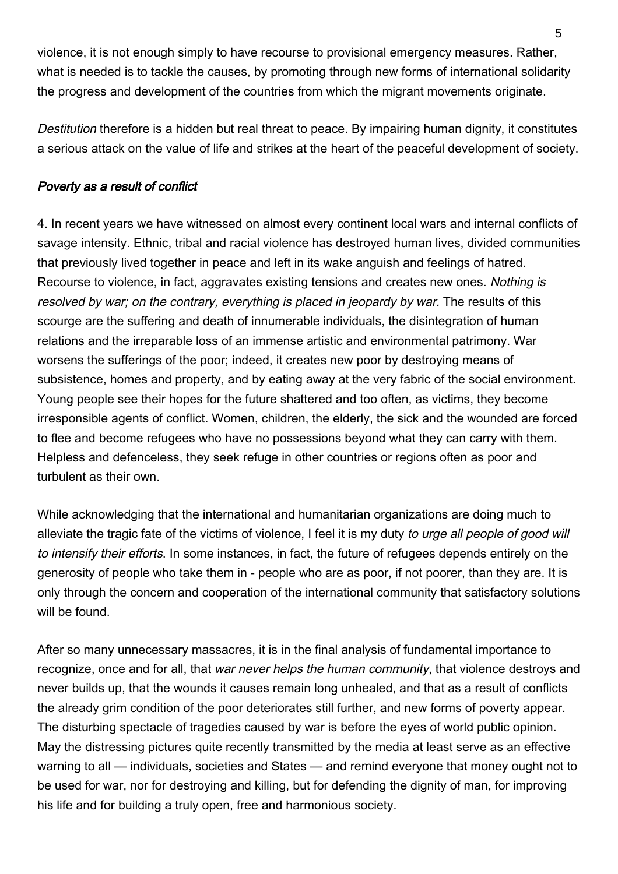violence, it is not enough simply to have recourse to provisional emergency measures. Rather, what is needed is to tackle the causes, by promoting through new forms of international solidarity the progress and development of the countries from which the migrant movements originate.

Destitution therefore is a hidden but real threat to peace. By impairing human dignity, it constitutes a serious attack on the value of life and strikes at the heart of the peaceful development of society.

### Poverty as a result of conflict

4. In recent years we have witnessed on almost every continent local wars and internal conflicts of savage intensity. Ethnic, tribal and racial violence has destroyed human lives, divided communities that previously lived together in peace and left in its wake anguish and feelings of hatred. Recourse to violence, in fact, aggravates existing tensions and creates new ones. Nothing is resolved by war; on the contrary, everything is placed in jeopardy by war. The results of this scourge are the suffering and death of innumerable individuals, the disintegration of human relations and the irreparable loss of an immense artistic and environmental patrimony. War worsens the sufferings of the poor; indeed, it creates new poor by destroying means of subsistence, homes and property, and by eating away at the very fabric of the social environment. Young people see their hopes for the future shattered and too often, as victims, they become irresponsible agents of conflict. Women, children, the elderly, the sick and the wounded are forced to flee and become refugees who have no possessions beyond what they can carry with them. Helpless and defenceless, they seek refuge in other countries or regions often as poor and turbulent as their own.

While acknowledging that the international and humanitarian organizations are doing much to alleviate the tragic fate of the victims of violence, I feel it is my duty to urge all people of good will to intensify their efforts. In some instances, in fact, the future of refugees depends entirely on the generosity of people who take them in - people who are as poor, if not poorer, than they are. It is only through the concern and cooperation of the international community that satisfactory solutions will be found.

After so many unnecessary massacres, it is in the final analysis of fundamental importance to recognize, once and for all, that war never helps the human community, that violence destroys and never builds up, that the wounds it causes remain long unhealed, and that as a result of conflicts the already grim condition of the poor deteriorates still further, and new forms of poverty appear. The disturbing spectacle of tragedies caused by war is before the eyes of world public opinion. May the distressing pictures quite recently transmitted by the media at least serve as an effective warning to all — individuals, societies and States — and remind everyone that money ought not to be used for war, nor for destroying and killing, but for defending the dignity of man, for improving his life and for building a truly open, free and harmonious society.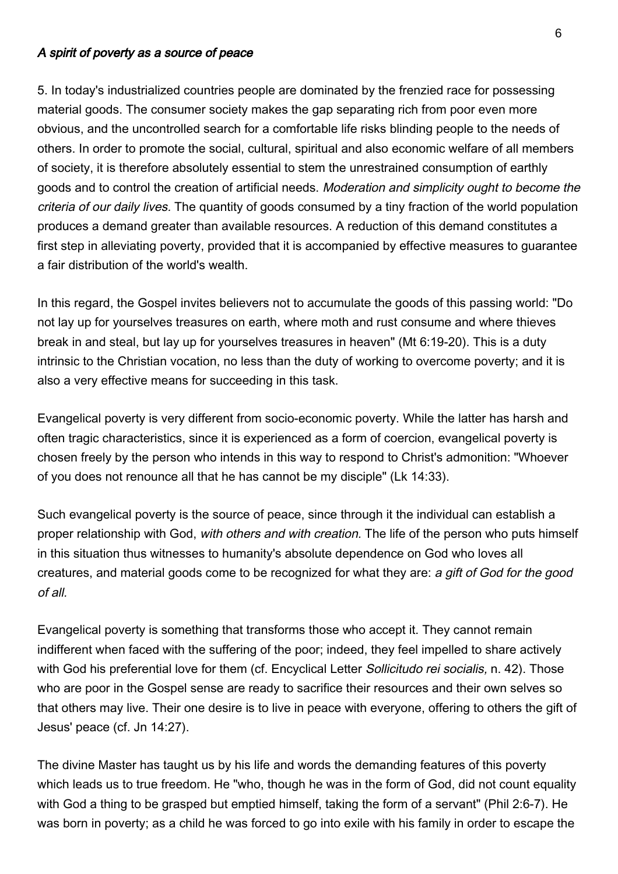#### A spirit of poverty as a source of peace

5. In today's industrialized countries people are dominated by the frenzied race for possessing material goods. The consumer society makes the gap separating rich from poor even more obvious, and the uncontrolled search for a comfortable life risks blinding people to the needs of others. In order to promote the social, cultural, spiritual and also economic welfare of all members of society, it is therefore absolutely essential to stem the unrestrained consumption of earthly goods and to control the creation of artificial needs. Moderation and simplicity ought to become the criteria of our daily lives. The quantity of goods consumed by a tiny fraction of the world population produces a demand greater than available resources. A reduction of this demand constitutes a first step in alleviating poverty, provided that it is accompanied by effective measures to guarantee a fair distribution of the world's wealth.

In this regard, the Gospel invites believers not to accumulate the goods of this passing world: "Do not lay up for yourselves treasures on earth, where moth and rust consume and where thieves break in and steal, but lay up for yourselves treasures in heaven" (Mt 6:19-20). This is a duty intrinsic to the Christian vocation, no less than the duty of working to overcome poverty; and it is also a very effective means for succeeding in this task.

Evangelical poverty is very different from socio-economic poverty. While the latter has harsh and often tragic characteristics, since it is experienced as a form of coercion, evangelical poverty is chosen freely by the person who intends in this way to respond to Christ's admonition: "Whoever of you does not renounce all that he has cannot be my disciple" (Lk 14:33).

Such evangelical poverty is the source of peace, since through it the individual can establish a proper relationship with God, with others and with creation. The life of the person who puts himself in this situation thus witnesses to humanity's absolute dependence on God who loves all creatures, and material goods come to be recognized for what they are: a gift of God for the good of all.

Evangelical poverty is something that transforms those who accept it. They cannot remain indifferent when faced with the suffering of the poor; indeed, they feel impelled to share actively with God his preferential love for them (cf. Encyclical Letter *Sollicitudo rei socialis*, n. 42). Those who are poor in the Gospel sense are ready to sacrifice their resources and their own selves so that others may live. Their one desire is to live in peace with everyone, offering to others the gift of Jesus' peace (cf. Jn 14:27).

The divine Master has taught us by his life and words the demanding features of this poverty which leads us to true freedom. He "who, though he was in the form of God, did not count equality with God a thing to be grasped but emptied himself, taking the form of a servant" (Phil 2:6-7). He was born in poverty; as a child he was forced to go into exile with his family in order to escape the